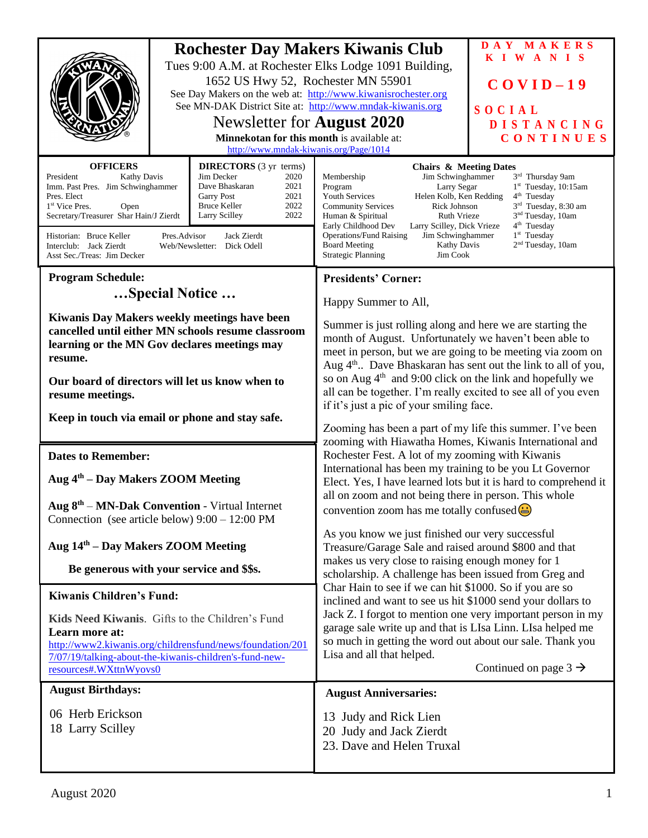| <b>Rochester Day Makers Kiwanis Club</b><br>Tues 9:00 A.M. at Rochester Elks Lodge 1091 Building,<br>1652 US Hwy 52, Rochester MN 55901<br>See Day Makers on the web at: http://www.kiwanisrochester.org<br>See MN-DAK District Site at: http://www.mndak-kiwanis.org<br>Newsletter for <b>August 2020</b><br>Minnekotan for this month is available at:<br>http://www.mndak-kiwanis.org/Page/1014                                                                                                            |  |                                                                                                                                                                                                                                                                                                                                                                                                                                                                                                                                                                  | DAY MAKERS<br>KIWANIS<br>$COVID-19$<br><b>SOCIAL</b><br><b>DISTANCING</b><br>CONTINUES                                                                                                                                  |
|---------------------------------------------------------------------------------------------------------------------------------------------------------------------------------------------------------------------------------------------------------------------------------------------------------------------------------------------------------------------------------------------------------------------------------------------------------------------------------------------------------------|--|------------------------------------------------------------------------------------------------------------------------------------------------------------------------------------------------------------------------------------------------------------------------------------------------------------------------------------------------------------------------------------------------------------------------------------------------------------------------------------------------------------------------------------------------------------------|-------------------------------------------------------------------------------------------------------------------------------------------------------------------------------------------------------------------------|
| <b>OFFICERS</b><br><b>DIRECTORS</b> (3 yr terms)<br>Jim Decker<br>President<br><b>Kathy Davis</b><br>2020<br>Imm. Past Pres. Jim Schwinghammer<br>Dave Bhaskaran<br>2021<br>2021<br>Pres. Elect<br><b>Garry Post</b><br>2022<br><b>Bruce Keller</b><br>1 <sup>st</sup> Vice Pres.<br>Open<br>2022<br>Secretary/Treasurer Shar Hain/J Zierdt<br>Larry Scilley<br>Pres.Advisor<br>Jack Zierdt<br>Historian: Bruce Keller<br>Interclub: Jack Zierdt<br>Web/Newsletter: Dick Odell<br>Asst Sec./Treas: Jim Decker |  | <b>Chairs &amp; Meeting Dates</b><br>Jim Schwinghammer<br>Membership<br>Program<br>Larry Segar<br>Helen Kolb, Ken Redding<br><b>Youth Services</b><br><b>Community Services</b><br>Rick Johnson<br>Ruth Vrieze<br>Human & Spiritual<br>Early Childhood Dev<br>Larry Scilley, Dick Vrieze<br><b>Operations/Fund Raising</b><br>Jim Schwinghammer<br><b>Board Meeting</b><br>Kathy Davis<br><b>Strategic Planning</b><br>Jim Cook                                                                                                                                  | 3rd Thursday 9am<br>$1st$ Tuesday, 10:15am<br>$4th$ Tuesday<br>3 <sup>rd</sup> Tuesday, 8:30 am<br>3 <sup>nd</sup> Tuesday, 10am<br>4 <sup>th</sup> Tuesday<br>1 <sup>st</sup> Tuesday<br>2 <sup>nd</sup> Tuesday, 10am |
| <b>Program Schedule:</b>                                                                                                                                                                                                                                                                                                                                                                                                                                                                                      |  | <b>Presidents' Corner:</b>                                                                                                                                                                                                                                                                                                                                                                                                                                                                                                                                       |                                                                                                                                                                                                                         |
| Special Notice                                                                                                                                                                                                                                                                                                                                                                                                                                                                                                |  | Happy Summer to All,                                                                                                                                                                                                                                                                                                                                                                                                                                                                                                                                             |                                                                                                                                                                                                                         |
| Kiwanis Day Makers weekly meetings have been<br>cancelled until either MN schools resume classroom<br>learning or the MN Gov declares meetings may<br>resume.<br>Our board of directors will let us know when to<br>resume meetings.                                                                                                                                                                                                                                                                          |  | Summer is just rolling along and here we are starting the<br>month of August. Unfortunately we haven't been able to<br>meet in person, but we are going to be meeting via zoom on<br>Aug 4 <sup>th</sup> Dave Bhaskaran has sent out the link to all of you,<br>so on Aug $4th$ and 9:00 click on the link and hopefully we<br>all can be together. I'm really excited to see all of you even<br>if it's just a pic of your smiling face.<br>Zooming has been a part of my life this summer. I've been<br>zooming with Hiawatha Homes, Kiwanis International and |                                                                                                                                                                                                                         |
| Keep in touch via email or phone and stay safe.                                                                                                                                                                                                                                                                                                                                                                                                                                                               |  |                                                                                                                                                                                                                                                                                                                                                                                                                                                                                                                                                                  |                                                                                                                                                                                                                         |
|                                                                                                                                                                                                                                                                                                                                                                                                                                                                                                               |  |                                                                                                                                                                                                                                                                                                                                                                                                                                                                                                                                                                  |                                                                                                                                                                                                                         |
| <b>Dates to Remember:</b><br>Aug 4 <sup>th</sup> – Day Makers ZOOM Meeting<br>Aug $8th - MN-Dak Convention - Virtual Internet$                                                                                                                                                                                                                                                                                                                                                                                |  | Rochester Fest. A lot of my zooming with Kiwanis<br>International has been my training to be you Lt Governor<br>Elect. Yes, I have learned lots but it is hard to comprehend it<br>all on zoom and not being there in person. This whole<br>convention zoom has me totally confused $\bigcirc$                                                                                                                                                                                                                                                                   |                                                                                                                                                                                                                         |
| Connection (see article below) $9:00 - 12:00 \text{ PM}$                                                                                                                                                                                                                                                                                                                                                                                                                                                      |  |                                                                                                                                                                                                                                                                                                                                                                                                                                                                                                                                                                  |                                                                                                                                                                                                                         |
| Aug 14 <sup>th</sup> – Day Makers ZOOM Meeting                                                                                                                                                                                                                                                                                                                                                                                                                                                                |  | As you know we just finished our very successful<br>Treasure/Garage Sale and raised around \$800 and that                                                                                                                                                                                                                                                                                                                                                                                                                                                        |                                                                                                                                                                                                                         |
| Be generous with your service and \$\$s.                                                                                                                                                                                                                                                                                                                                                                                                                                                                      |  | makes us very close to raising enough money for 1<br>scholarship. A challenge has been issued from Greg and<br>Char Hain to see if we can hit \$1000. So if you are so<br>inclined and want to see us hit \$1000 send your dollars to                                                                                                                                                                                                                                                                                                                            |                                                                                                                                                                                                                         |
| <b>Kiwanis Children's Fund:</b>                                                                                                                                                                                                                                                                                                                                                                                                                                                                               |  |                                                                                                                                                                                                                                                                                                                                                                                                                                                                                                                                                                  |                                                                                                                                                                                                                         |
| Kids Need Kiwanis. Gifts to the Children's Fund<br>Learn more at:<br>http://www2.kiwanis.org/childrensfund/news/foundation/201<br>7/07/19/talking-about-the-kiwanis-children's-fund-new-<br>resources#.WXttnWyovs0                                                                                                                                                                                                                                                                                            |  | Jack Z. I forgot to mention one very important person in my<br>garage sale write up and that is LIsa Linn. LIsa helped me<br>so much in getting the word out about our sale. Thank you<br>Lisa and all that helped.<br>Continued on page $3 \rightarrow$                                                                                                                                                                                                                                                                                                         |                                                                                                                                                                                                                         |
| <b>August Birthdays:</b>                                                                                                                                                                                                                                                                                                                                                                                                                                                                                      |  | <b>August Anniversaries:</b>                                                                                                                                                                                                                                                                                                                                                                                                                                                                                                                                     |                                                                                                                                                                                                                         |
| 06 Herb Erickson<br>18 Larry Scilley                                                                                                                                                                                                                                                                                                                                                                                                                                                                          |  | 13 Judy and Rick Lien<br>20 Judy and Jack Zierdt<br>23. Dave and Helen Truxal                                                                                                                                                                                                                                                                                                                                                                                                                                                                                    |                                                                                                                                                                                                                         |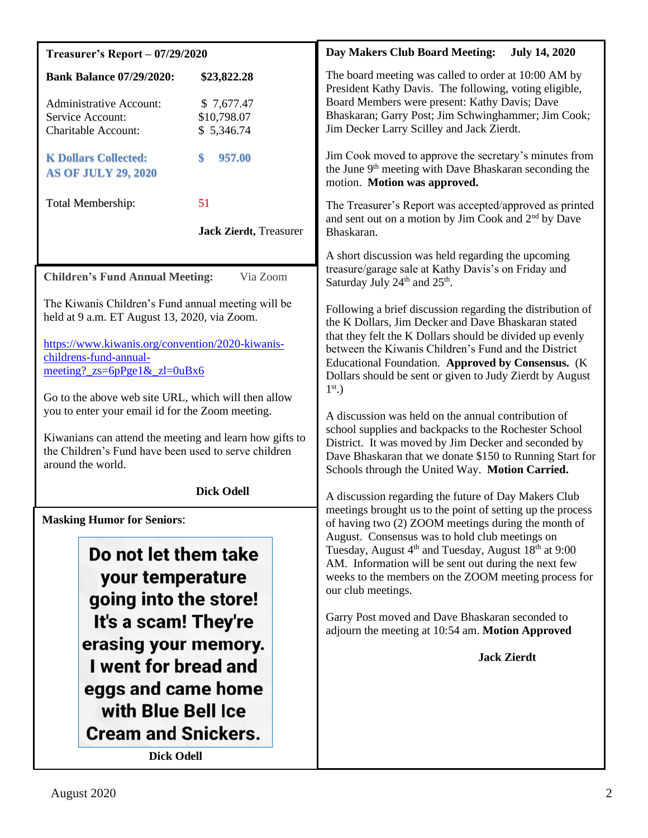| <b>Treasurer's Report - 07/29/2020</b>                                                                                                                                                                                                                                                                           | Day Makers Club Board Meeting:<br><b>July 14, 2020</b>                                                                                                                                                                                                                                                                                                                                                                                                                                                                 |  |
|------------------------------------------------------------------------------------------------------------------------------------------------------------------------------------------------------------------------------------------------------------------------------------------------------------------|------------------------------------------------------------------------------------------------------------------------------------------------------------------------------------------------------------------------------------------------------------------------------------------------------------------------------------------------------------------------------------------------------------------------------------------------------------------------------------------------------------------------|--|
| <b>Bank Balance 07/29/2020:</b><br>\$23,822.28<br><b>Administrative Account:</b><br>\$7,677.47<br>\$10,798.07<br>Service Account:<br>\$5,346.74<br><b>Charitable Account:</b>                                                                                                                                    | The board meeting was called to order at 10:00 AM by<br>President Kathy Davis. The following, voting eligible,<br>Board Members were present: Kathy Davis; Dave<br>Bhaskaran; Garry Post; Jim Schwinghammer; Jim Cook;<br>Jim Decker Larry Scilley and Jack Zierdt.                                                                                                                                                                                                                                                    |  |
| <b>K Dollars Collected:</b><br>957.00<br><b>AS OF JULY 29, 2020</b>                                                                                                                                                                                                                                              | Jim Cook moved to approve the secretary's minutes from<br>the June 9 <sup>th</sup> meeting with Dave Bhaskaran seconding the<br>motion. Motion was approved.                                                                                                                                                                                                                                                                                                                                                           |  |
| <b>Total Membership:</b><br>51<br><b>Jack Zierdt</b> , Treasurer                                                                                                                                                                                                                                                 | The Treasurer's Report was accepted/approved as printed<br>and sent out on a motion by Jim Cook and 2 <sup>nd</sup> by Dave<br>Bhaskaran.                                                                                                                                                                                                                                                                                                                                                                              |  |
| <b>Children's Fund Annual Meeting:</b><br>Via Zoom                                                                                                                                                                                                                                                               | A short discussion was held regarding the upcoming<br>treasure/garage sale at Kathy Davis's on Friday and<br>Saturday July 24 <sup>th</sup> and 25 <sup>th</sup> .                                                                                                                                                                                                                                                                                                                                                     |  |
| The Kiwanis Children's Fund annual meeting will be<br>held at 9 a.m. ET August 13, 2020, via Zoom.<br>https://www.kiwanis.org/convention/2020-kiwanis-<br>childrens-fund-annual-<br>$\frac{\text{meeting?} \text{zs}}{6pPgel\&\text{zl}} = 0 \text{uBx6}$<br>Go to the above web site URL, which will then allow | Following a brief discussion regarding the distribution of<br>the K Dollars, Jim Decker and Dave Bhaskaran stated<br>that they felt the K Dollars should be divided up evenly<br>between the Kiwanis Children's Fund and the District<br>Educational Foundation. Approved by Consensus. (K<br>Dollars should be sent or given to Judy Zierdt by August<br>$1st$ .)                                                                                                                                                     |  |
| you to enter your email id for the Zoom meeting.<br>Kiwanians can attend the meeting and learn how gifts to<br>the Children's Fund have been used to serve children<br>around the world.                                                                                                                         | A discussion was held on the annual contribution of<br>school supplies and backpacks to the Rochester School<br>District. It was moved by Jim Decker and seconded by<br>Dave Bhaskaran that we donate \$150 to Running Start for<br>Schools through the United Way. Motion Carried.                                                                                                                                                                                                                                    |  |
| <b>Dick Odell</b>                                                                                                                                                                                                                                                                                                | A discussion regarding the future of Day Makers Club                                                                                                                                                                                                                                                                                                                                                                                                                                                                   |  |
| <b>Masking Humor for Seniors:</b><br>Do not let them take<br>your temperature<br>going into the store!<br>It's a scam! They're<br>erasing your memory.<br>I went for bread and<br>eggs and came home<br>with Blue Bell Ice                                                                                       | meetings brought us to the point of setting up the process<br>of having two (2) ZOOM meetings during the month of<br>August. Consensus was to hold club meetings on<br>Tuesday, August 4 <sup>th</sup> and Tuesday, August 18 <sup>th</sup> at 9:00<br>AM. Information will be sent out during the next few<br>weeks to the members on the ZOOM meeting process for<br>our club meetings.<br>Garry Post moved and Dave Bhaskaran seconded to<br>adjourn the meeting at 10:54 am. Motion Approved<br><b>Jack Zierdt</b> |  |
| <b>Cream and Snickers.</b>                                                                                                                                                                                                                                                                                       |                                                                                                                                                                                                                                                                                                                                                                                                                                                                                                                        |  |
| <b>Dick Odell</b>                                                                                                                                                                                                                                                                                                |                                                                                                                                                                                                                                                                                                                                                                                                                                                                                                                        |  |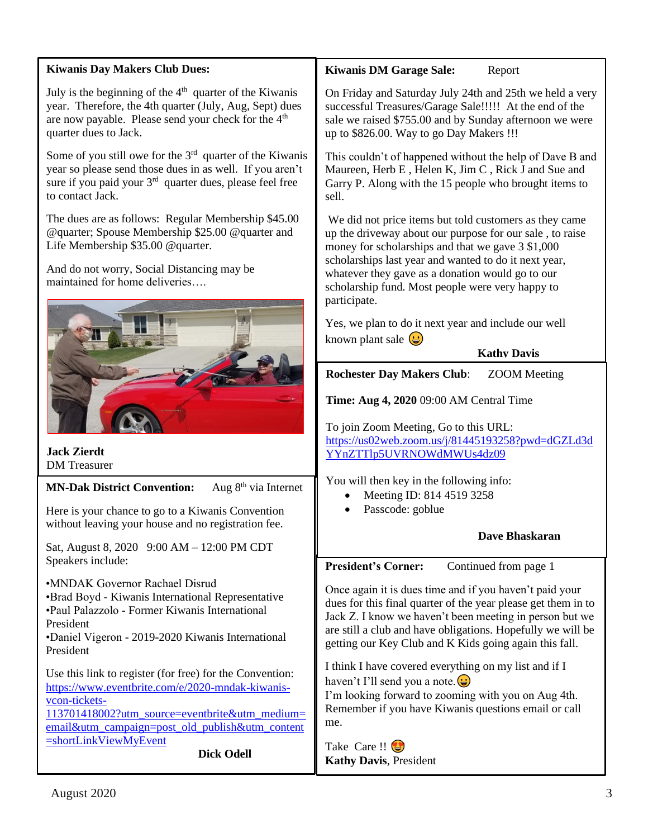| <b>Kiwanis Day Makers Club Dues:</b>                                                                                                                                                                                                                        | <b>Kiwanis DM Garage Sale:</b><br>Report                                                                                                                                                                                                                                                                                                                 |  |
|-------------------------------------------------------------------------------------------------------------------------------------------------------------------------------------------------------------------------------------------------------------|----------------------------------------------------------------------------------------------------------------------------------------------------------------------------------------------------------------------------------------------------------------------------------------------------------------------------------------------------------|--|
| July is the beginning of the $4th$ quarter of the Kiwanis<br>year. Therefore, the 4th quarter (July, Aug, Sept) dues<br>are now payable. Please send your check for the 4 <sup>th</sup><br>quarter dues to Jack.                                            | On Friday and Saturday July 24th and 25th we held a very<br>successful Treasures/Garage Sale!!!!! At the end of the<br>sale we raised \$755.00 and by Sunday afternoon we were<br>up to \$826.00. Way to go Day Makers !!!                                                                                                                               |  |
| Some of you still owe for the $3rd$ quarter of the Kiwanis<br>year so please send those dues in as well. If you aren't<br>sure if you paid your 3 <sup>rd</sup> quarter dues, please feel free<br>to contact Jack.                                          | This couldn't of happened without the help of Dave B and<br>Maureen, Herb E, Helen K, Jim C, Rick J and Sue and<br>Garry P. Along with the 15 people who brought items to<br>sell.                                                                                                                                                                       |  |
| The dues are as follows: Regular Membership \$45.00<br>@quarter; Spouse Membership \$25.00 @quarter and<br>Life Membership \$35.00 @quarter.                                                                                                                | We did not price items but told customers as they came<br>up the driveway about our purpose for our sale, to raise<br>money for scholarships and that we gave 3 \$1,000<br>scholarships last year and wanted to do it next year,<br>whatever they gave as a donation would go to our<br>scholarship fund. Most people were very happy to<br>participate. |  |
| And do not worry, Social Distancing may be<br>maintained for home deliveries                                                                                                                                                                                |                                                                                                                                                                                                                                                                                                                                                          |  |
|                                                                                                                                                                                                                                                             | Yes, we plan to do it next year and include our well<br>known plant sale $\bigodot$                                                                                                                                                                                                                                                                      |  |
|                                                                                                                                                                                                                                                             | <b>Kathy Davis</b>                                                                                                                                                                                                                                                                                                                                       |  |
|                                                                                                                                                                                                                                                             | <b>Rochester Day Makers Club:</b><br><b>ZOOM</b> Meeting                                                                                                                                                                                                                                                                                                 |  |
|                                                                                                                                                                                                                                                             | Time: Aug 4, 2020 09:00 AM Central Time                                                                                                                                                                                                                                                                                                                  |  |
|                                                                                                                                                                                                                                                             |                                                                                                                                                                                                                                                                                                                                                          |  |
|                                                                                                                                                                                                                                                             | To join Zoom Meeting, Go to this URL:<br>https://us02web.zoom.us/j/81445193258?pwd=dGZLd3d                                                                                                                                                                                                                                                               |  |
| <b>Jack Zierdt</b><br><b>DM</b> Treasurer                                                                                                                                                                                                                   | YYnZTTlp5UVRNOWdMWUs4dz09                                                                                                                                                                                                                                                                                                                                |  |
| Aug $8th$ via Internet<br><b>MN-Dak District Convention:</b>                                                                                                                                                                                                | You will then key in the following info:                                                                                                                                                                                                                                                                                                                 |  |
| Here is your chance to go to a Kiwanis Convention                                                                                                                                                                                                           | Meeting ID: 814 4519 3258<br>Passcode: goblue                                                                                                                                                                                                                                                                                                            |  |
| without leaving your house and no registration fee.                                                                                                                                                                                                         |                                                                                                                                                                                                                                                                                                                                                          |  |
| Sat, August 8, 2020 9:00 AM - 12:00 PM CDT                                                                                                                                                                                                                  | Dave Bhaskaran                                                                                                                                                                                                                                                                                                                                           |  |
|                                                                                                                                                                                                                                                             |                                                                                                                                                                                                                                                                                                                                                          |  |
| Speakers include:                                                                                                                                                                                                                                           | <b>President's Corner:</b><br>Continued from page 1                                                                                                                                                                                                                                                                                                      |  |
| •MNDAK Governor Rachael Disrud<br>•Brad Boyd - Kiwanis International Representative<br>•Paul Palazzolo - Former Kiwanis International<br>President<br>•Daniel Vigeron - 2019-2020 Kiwanis International<br>President                                        | Once again it is dues time and if you haven't paid your<br>dues for this final quarter of the year please get them in to<br>Jack Z. I know we haven't been meeting in person but we<br>are still a club and have obligations. Hopefully we will be<br>getting our Key Club and K Kids going again this fall.                                             |  |
| Use this link to register (for free) for the Convention:<br>https://www.eventbrite.com/e/2020-mndak-kiwanis-<br>vcon-tickets-<br>113701418002?utm_source=eventbrite&utm_medium=<br>email&utm_campaign=post_old_publish&utm_content<br>=shortLinkViewMyEvent | I think I have covered everything on my list and if I<br>haven't I'll send you a note. $\bigcirc$<br>I'm looking forward to zooming with you on Aug 4th.<br>Remember if you have Kiwanis questions email or call<br>me.                                                                                                                                  |  |